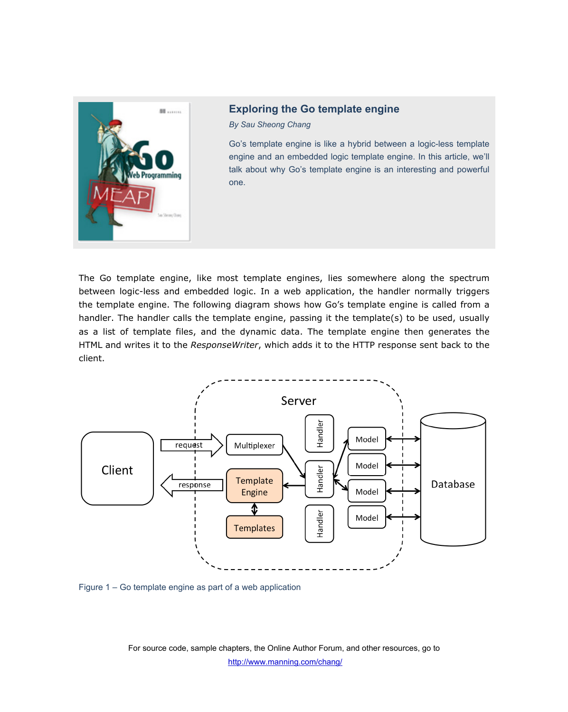

## **Exploring the Go template engine**

*By Sau Sheong Chang* 

Go's template engine is like a hybrid between a logic-less template engine and an embedded logic template engine. In this article, we'll talk about why Go's template engine is an interesting and powerful one.

The Go template engine, like most template engines, lies somewhere along the spectrum between logic-less and embedded logic. In a web application, the handler normally triggers the template engine. The following diagram shows how Go's template engine is called from a handler. The handler calls the template engine, passing it the template(s) to be used, usually as a list of template files, and the dynamic data. The template engine then generates the HTML and writes it to the *ResponseWriter*, which adds it to the HTTP response sent back to the client.



Figure 1 – Go template engine as part of a web application

For source code, sample chapters, the Online Author Forum, and other resources, go to http://www.manning.com/chang/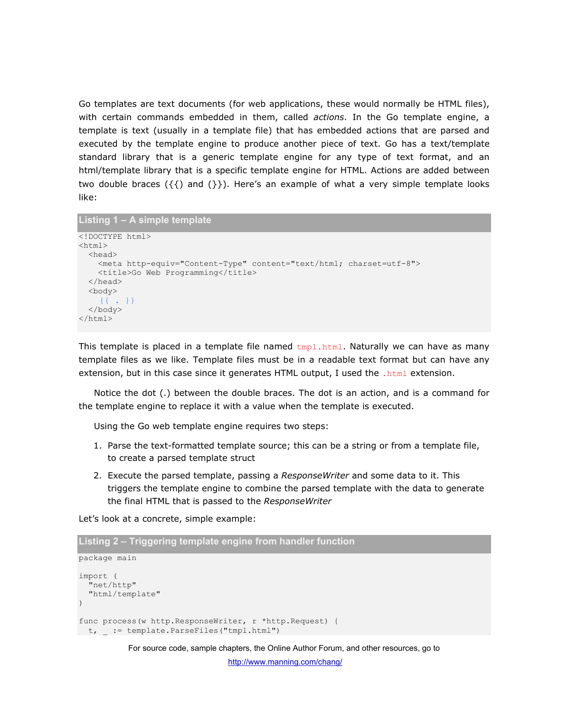Go templates are text documents (for web applications, these would normally be HTML files), with certain commands embedded in them, called *actions*. In the Go template engine, a template is text (usually in a template file) that has embedded actions that are parsed and executed by the template engine to produce another piece of text. Go has a text/template standard library that is a generic template engine for any type of text format, and an html/template library that is a specific template engine for HTML. Actions are added between two double braces  $({} \{ {\})$  and  $({} \}$ ). Here's an example of what a very simple template looks like:

```
Listing 1 – A simple template
```

```
<!DOCTYPE html> 
<html> <head> 
     <meta http-equiv="Content-Type" content="text/html; charset=utf-8"> 
    <title>Go Web Programming</title>
   </head> 
   <body> 
     {{ . }} 
   </body> 
\langle/html>
```
This template is placed in a template file named  $t_{mp1}$ .  $h$ the Naturally we can have as many template files as we like. Template files must be in a readable text format but can have any extension, but in this case since it generates HTML output, I used the .html extension.

Notice the dot (.) between the double braces. The dot is an action, and is a command for the template engine to replace it with a value when the template is executed.

Using the Go web template engine requires two steps:

- 1. Parse the text-formatted template source; this can be a string or from a template file, to create a parsed template struct
- 2. Execute the parsed template, passing a *ResponseWriter* and some data to it. This triggers the template engine to combine the parsed template with the data to generate the final HTML that is passed to the *ResponseWriter*

Let's look at a concrete, simple example:

```
Listing 2 – Triggering template engine from handler function 
package main 
import ( 
   "net/http" 
   "html/template" 
\lambdafunc process(w http.ResponseWriter, r *http.Request) { 
t, := template.ParseFiles("tmpl.html")
```
For source code, sample chapters, the Online Author Forum, and other resources, go to

http://www.manning.com/chang/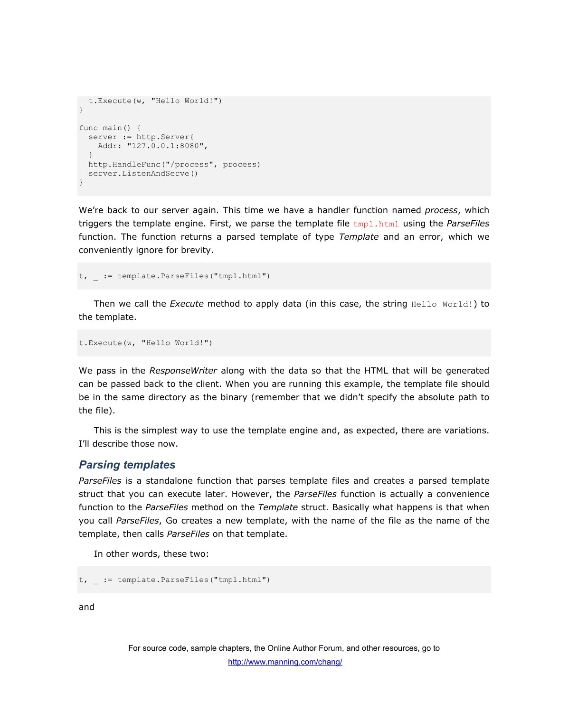```
 t.Execute(w, "Hello World!") 
} 
func main() { 
 server := http.Server{
    Addr: "127.0.0.1:8080", 
 } 
  http.HandleFunc("/process", process) 
  server.ListenAndServe() 
}
```
We're back to our server again. This time we have a handler function named *process*, which triggers the template engine. First, we parse the template file tmpl.html using the *ParseFiles* function. The function returns a parsed template of type *Template* and an error, which we conveniently ignore for brevity.

t, \_ := template.ParseFiles("tmpl.html")

Then we call the *Execute* method to apply data (in this case, the string Hello World!) to the template.

t.Execute(w, "Hello World!")

We pass in the *ResponseWriter* along with the data so that the HTML that will be generated can be passed back to the client. When you are running this example, the template file should be in the same directory as the binary (remember that we didn't specify the absolute path to the file).

This is the simplest way to use the template engine and, as expected, there are variations. I'll describe those now.

## *Parsing templates*

*ParseFiles* is a standalone function that parses template files and creates a parsed template struct that you can execute later. However, the *ParseFiles* function is actually a convenience function to the *ParseFiles* method on the *Template* struct. Basically what happens is that when you call *ParseFiles*, Go creates a new template, with the name of the file as the name of the template, then calls *ParseFiles* on that template.

In other words, these two:

```
t, _ := template.ParseFiles("tmpl.html")
```
and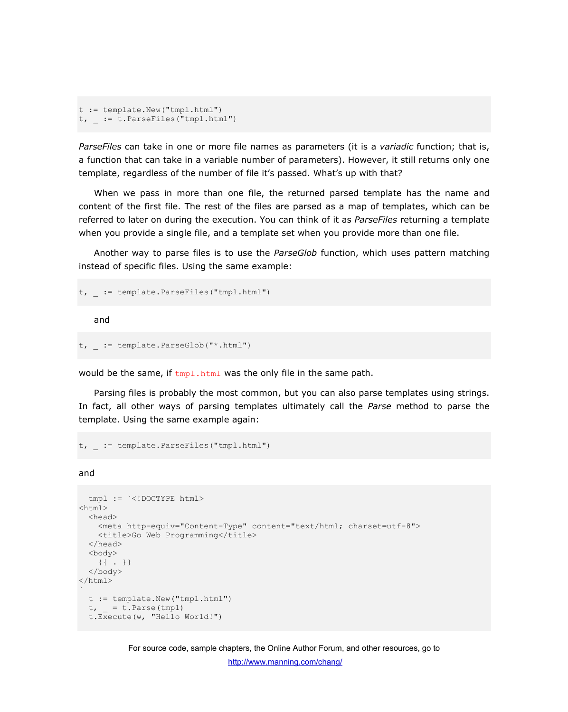```
t := template.New("tmpl.html") 
t, _ := t.ParseFiles("tmpl.html")
```
*ParseFiles* can take in one or more file names as parameters (it is a *variadic* function; that is, a function that can take in a variable number of parameters). However, it still returns only one template, regardless of the number of file it's passed. What's up with that?

When we pass in more than one file, the returned parsed template has the name and content of the first file. The rest of the files are parsed as a map of templates, which can be referred to later on during the execution. You can think of it as *ParseFiles* returning a template when you provide a single file, and a template set when you provide more than one file.

Another way to parse files is to use the *ParseGlob* function, which uses pattern matching instead of specific files. Using the same example:

```
t, := template.ParseFiles("tmpl.html")
```
and

```
t, := template.ParseGlob("*.html")
```
would be the same, if  $t_{mpl}$ .html was the only file in the same path.

Parsing files is probably the most common, but you can also parse templates using strings. In fact, all other ways of parsing templates ultimately call the *Parse* method to parse the template. Using the same example again:

```
t, := template.ParseFiles("tmpl.html")
```
and

```
 tmpl := `<!DOCTYPE html> 
<html> <head> 
     <meta http-equiv="Content-Type" content="text/html; charset=utf-8"> 
    <title>Go Web Programming</title>
  </head> 
  <body> 
     {{ . }} 
   </body> 
\langle/html>\ddot{\phantom{a}} t := template.New("tmpl.html") 
 t, = t. Parse (tmpl)
   t.Execute(w, "Hello World!")
```